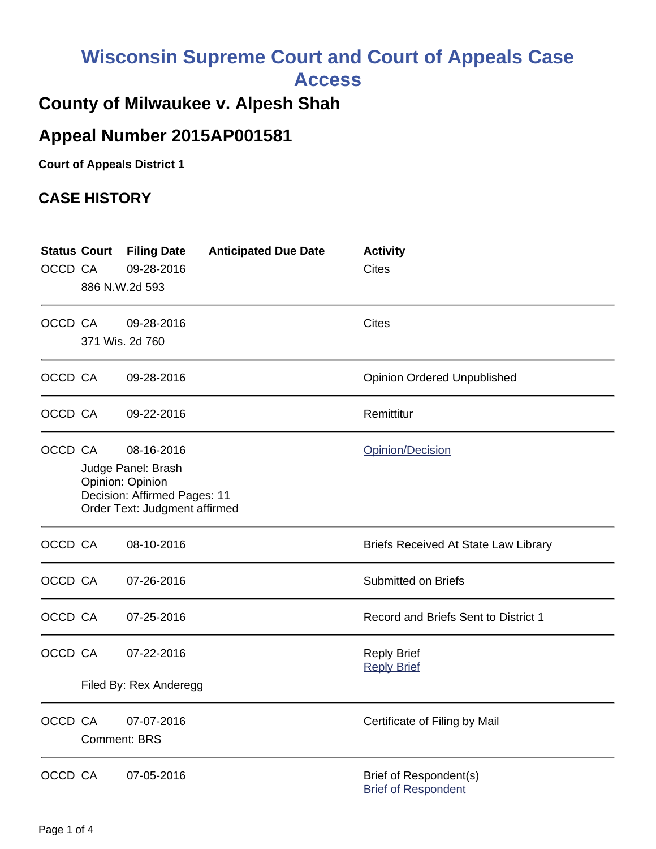# **Wisconsin Supreme Court and Court of Appeals Case Access**

### **County of Milwaukee v. Alpesh Shah**

# **Appeal Number 2015AP001581**

**Court of Appeals District 1**

#### **CASE HISTORY**

| OCCD CA | 886 N.W.2d 593                                                                                                        | <b>Status Court Filing Date</b><br>09-28-2016 | <b>Anticipated Due Date</b> | <b>Activity</b><br><b>Cites</b>                             |
|---------|-----------------------------------------------------------------------------------------------------------------------|-----------------------------------------------|-----------------------------|-------------------------------------------------------------|
| OCCD CA |                                                                                                                       | 09-28-2016<br>371 Wis. 2d 760                 |                             | <b>Cites</b>                                                |
| OCCD CA |                                                                                                                       | 09-28-2016                                    |                             | <b>Opinion Ordered Unpublished</b>                          |
| OCCD CA |                                                                                                                       | 09-22-2016                                    |                             | Remittitur                                                  |
| OCCD CA | 08-16-2016<br>Judge Panel: Brash<br>Opinion: Opinion<br>Decision: Affirmed Pages: 11<br>Order Text: Judgment affirmed |                                               |                             | Opinion/Decision                                            |
| OCCD CA |                                                                                                                       | 08-10-2016                                    |                             | <b>Briefs Received At State Law Library</b>                 |
| OCCD CA |                                                                                                                       | 07-26-2016                                    |                             | <b>Submitted on Briefs</b>                                  |
| OCCD CA |                                                                                                                       | 07-25-2016                                    |                             | Record and Briefs Sent to District 1                        |
| OCCD CA |                                                                                                                       | 07-22-2016<br>Filed By: Rex Anderegg          |                             | <b>Reply Brief</b><br><b>Reply Brief</b>                    |
| OCCD CA | <b>Comment: BRS</b>                                                                                                   | 07-07-2016                                    |                             | Certificate of Filing by Mail                               |
| OCCD CA |                                                                                                                       | 07-05-2016                                    |                             | <b>Brief of Respondent(s)</b><br><b>Brief of Respondent</b> |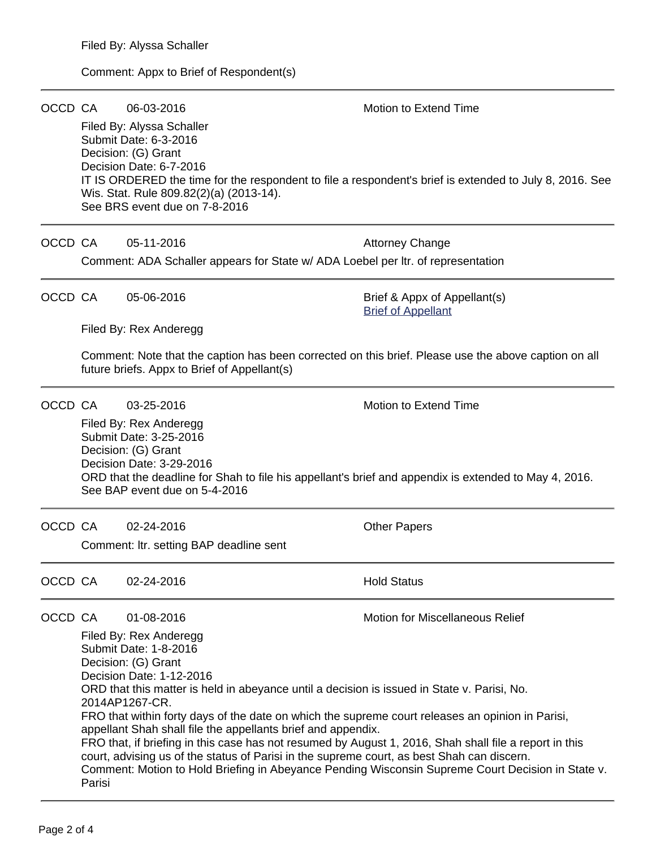#### Comment: Appx to Brief of Respondent(s)

| OCCD CA |                                                                                                                                                                                                                                                                                                                                                                                                                                                                                                                                                                                                                                                                                                                                                                        | 06-03-2016<br>Filed By: Alyssa Schaller<br>Submit Date: 6-3-2016<br>Decision: (G) Grant<br>Decision Date: 6-7-2016<br>Wis. Stat. Rule 809.82(2)(a) (2013-14).<br>See BRS event due on 7-8-2016 | <b>Motion to Extend Time</b><br>IT IS ORDERED the time for the respondent to file a respondent's brief is extended to July 8, 2016. See |  |  |  |  |
|---------|------------------------------------------------------------------------------------------------------------------------------------------------------------------------------------------------------------------------------------------------------------------------------------------------------------------------------------------------------------------------------------------------------------------------------------------------------------------------------------------------------------------------------------------------------------------------------------------------------------------------------------------------------------------------------------------------------------------------------------------------------------------------|------------------------------------------------------------------------------------------------------------------------------------------------------------------------------------------------|-----------------------------------------------------------------------------------------------------------------------------------------|--|--|--|--|
| OCCD CA |                                                                                                                                                                                                                                                                                                                                                                                                                                                                                                                                                                                                                                                                                                                                                                        | 05-11-2016                                                                                                                                                                                     | <b>Attorney Change</b>                                                                                                                  |  |  |  |  |
|         | Comment: ADA Schaller appears for State w/ ADA Loebel per Itr. of representation                                                                                                                                                                                                                                                                                                                                                                                                                                                                                                                                                                                                                                                                                       |                                                                                                                                                                                                |                                                                                                                                         |  |  |  |  |
| OCCD CA | 05-06-2016                                                                                                                                                                                                                                                                                                                                                                                                                                                                                                                                                                                                                                                                                                                                                             |                                                                                                                                                                                                | Brief & Appx of Appellant(s)<br><b>Brief of Appellant</b>                                                                               |  |  |  |  |
|         |                                                                                                                                                                                                                                                                                                                                                                                                                                                                                                                                                                                                                                                                                                                                                                        | Filed By: Rex Anderegg                                                                                                                                                                         |                                                                                                                                         |  |  |  |  |
|         | Comment: Note that the caption has been corrected on this brief. Please use the above caption on all<br>future briefs. Appx to Brief of Appellant(s)                                                                                                                                                                                                                                                                                                                                                                                                                                                                                                                                                                                                                   |                                                                                                                                                                                                |                                                                                                                                         |  |  |  |  |
| OCCD CA |                                                                                                                                                                                                                                                                                                                                                                                                                                                                                                                                                                                                                                                                                                                                                                        | 03-25-2016                                                                                                                                                                                     | Motion to Extend Time                                                                                                                   |  |  |  |  |
|         | Filed By: Rex Anderegg<br>Submit Date: 3-25-2016<br>Decision: (G) Grant<br>Decision Date: 3-29-2016<br>ORD that the deadline for Shah to file his appellant's brief and appendix is extended to May 4, 2016.<br>See BAP event due on 5-4-2016                                                                                                                                                                                                                                                                                                                                                                                                                                                                                                                          |                                                                                                                                                                                                |                                                                                                                                         |  |  |  |  |
| OCCD CA |                                                                                                                                                                                                                                                                                                                                                                                                                                                                                                                                                                                                                                                                                                                                                                        | 02-24-2016                                                                                                                                                                                     | <b>Other Papers</b>                                                                                                                     |  |  |  |  |
|         | Comment: Itr. setting BAP deadline sent                                                                                                                                                                                                                                                                                                                                                                                                                                                                                                                                                                                                                                                                                                                                |                                                                                                                                                                                                |                                                                                                                                         |  |  |  |  |
| OCCD CA |                                                                                                                                                                                                                                                                                                                                                                                                                                                                                                                                                                                                                                                                                                                                                                        | 02-24-2016                                                                                                                                                                                     | <b>Hold Status</b>                                                                                                                      |  |  |  |  |
| OCCD CA | <b>Motion for Miscellaneous Relief</b><br>01-08-2016<br>Filed By: Rex Anderegg<br>Submit Date: 1-8-2016<br>Decision: (G) Grant<br>Decision Date: 1-12-2016<br>ORD that this matter is held in abeyance until a decision is issued in State v. Parisi, No.<br>2014AP1267-CR.<br>FRO that within forty days of the date on which the supreme court releases an opinion in Parisi,<br>appellant Shah shall file the appellants brief and appendix.<br>FRO that, if briefing in this case has not resumed by August 1, 2016, Shah shall file a report in this<br>court, advising us of the status of Parisi in the supreme court, as best Shah can discern.<br>Comment: Motion to Hold Briefing in Abeyance Pending Wisconsin Supreme Court Decision in State v.<br>Parisi |                                                                                                                                                                                                |                                                                                                                                         |  |  |  |  |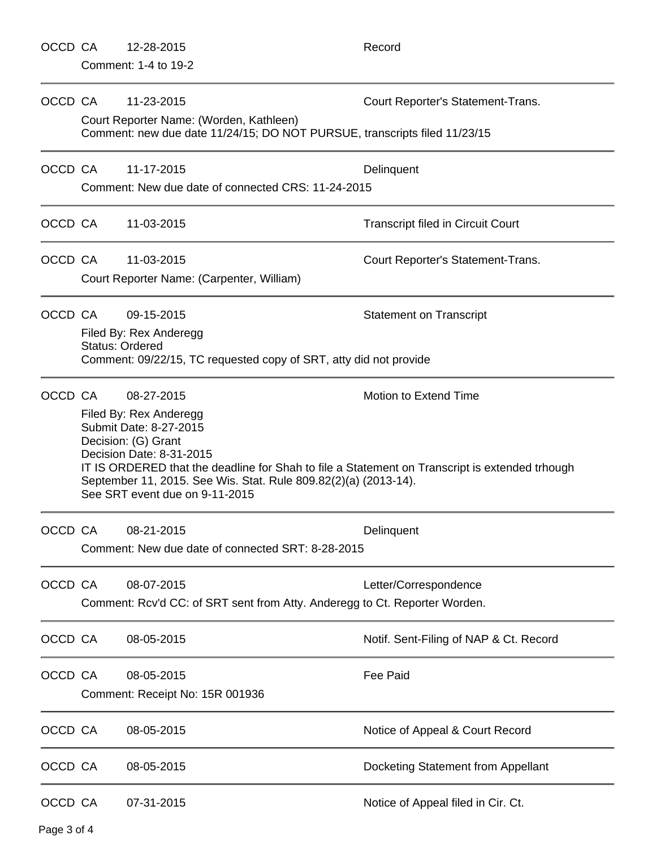|             | OCCD CA                                           | 12-28-2015                                                                                                                                                                                                                                                                                                 | Record                                   |  |  |  |  |
|-------------|---------------------------------------------------|------------------------------------------------------------------------------------------------------------------------------------------------------------------------------------------------------------------------------------------------------------------------------------------------------------|------------------------------------------|--|--|--|--|
|             | Comment: 1-4 to 19-2                              |                                                                                                                                                                                                                                                                                                            |                                          |  |  |  |  |
|             | OCCD CA                                           | 11-23-2015                                                                                                                                                                                                                                                                                                 | Court Reporter's Statement-Trans.        |  |  |  |  |
|             |                                                   | Court Reporter Name: (Worden, Kathleen)<br>Comment: new due date 11/24/15; DO NOT PURSUE, transcripts filed 11/23/15                                                                                                                                                                                       |                                          |  |  |  |  |
| OCCD CA     |                                                   | 11-17-2015                                                                                                                                                                                                                                                                                                 | Delinquent                               |  |  |  |  |
|             |                                                   | Comment: New due date of connected CRS: 11-24-2015                                                                                                                                                                                                                                                         |                                          |  |  |  |  |
|             | OCCD CA                                           | 11-03-2015                                                                                                                                                                                                                                                                                                 | <b>Transcript filed in Circuit Court</b> |  |  |  |  |
| OCCD CA     |                                                   | 11-03-2015                                                                                                                                                                                                                                                                                                 | Court Reporter's Statement-Trans.        |  |  |  |  |
|             |                                                   | Court Reporter Name: (Carpenter, William)                                                                                                                                                                                                                                                                  |                                          |  |  |  |  |
| OCCD CA     |                                                   | 09-15-2015                                                                                                                                                                                                                                                                                                 | <b>Statement on Transcript</b>           |  |  |  |  |
|             |                                                   | Filed By: Rex Anderegg<br><b>Status: Ordered</b>                                                                                                                                                                                                                                                           |                                          |  |  |  |  |
|             |                                                   | Comment: 09/22/15, TC requested copy of SRT, atty did not provide                                                                                                                                                                                                                                          |                                          |  |  |  |  |
|             | OCCD CA                                           | 08-27-2015                                                                                                                                                                                                                                                                                                 | Motion to Extend Time                    |  |  |  |  |
|             |                                                   | Filed By: Rex Anderegg<br>Submit Date: 8-27-2015<br>Decision: (G) Grant<br>Decision Date: 8-31-2015<br>IT IS ORDERED that the deadline for Shah to file a Statement on Transcript is extended trhough<br>September 11, 2015. See Wis. Stat. Rule 809.82(2)(a) (2013-14).<br>See SRT event due on 9-11-2015 |                                          |  |  |  |  |
| OCCD CA     |                                                   | 08-21-2015                                                                                                                                                                                                                                                                                                 | Delinquent                               |  |  |  |  |
|             | Comment: New due date of connected SRT: 8-28-2015 |                                                                                                                                                                                                                                                                                                            |                                          |  |  |  |  |
| OCCD CA     |                                                   | 08-07-2015                                                                                                                                                                                                                                                                                                 | Letter/Correspondence                    |  |  |  |  |
|             |                                                   | Comment: Rcv'd CC: of SRT sent from Atty. Anderegg to Ct. Reporter Worden.                                                                                                                                                                                                                                 |                                          |  |  |  |  |
| OCCD CA     |                                                   | 08-05-2015                                                                                                                                                                                                                                                                                                 | Notif. Sent-Filing of NAP & Ct. Record   |  |  |  |  |
| OCCD CA     |                                                   | 08-05-2015                                                                                                                                                                                                                                                                                                 | <b>Fee Paid</b>                          |  |  |  |  |
|             |                                                   | Comment: Receipt No: 15R 001936                                                                                                                                                                                                                                                                            |                                          |  |  |  |  |
| OCCD CA     |                                                   | 08-05-2015                                                                                                                                                                                                                                                                                                 | Notice of Appeal & Court Record          |  |  |  |  |
| OCCD CA     |                                                   | 08-05-2015                                                                                                                                                                                                                                                                                                 | Docketing Statement from Appellant       |  |  |  |  |
| OCCD CA     |                                                   | 07-31-2015                                                                                                                                                                                                                                                                                                 | Notice of Appeal filed in Cir. Ct.       |  |  |  |  |
| Page 3 of 4 |                                                   |                                                                                                                                                                                                                                                                                                            |                                          |  |  |  |  |